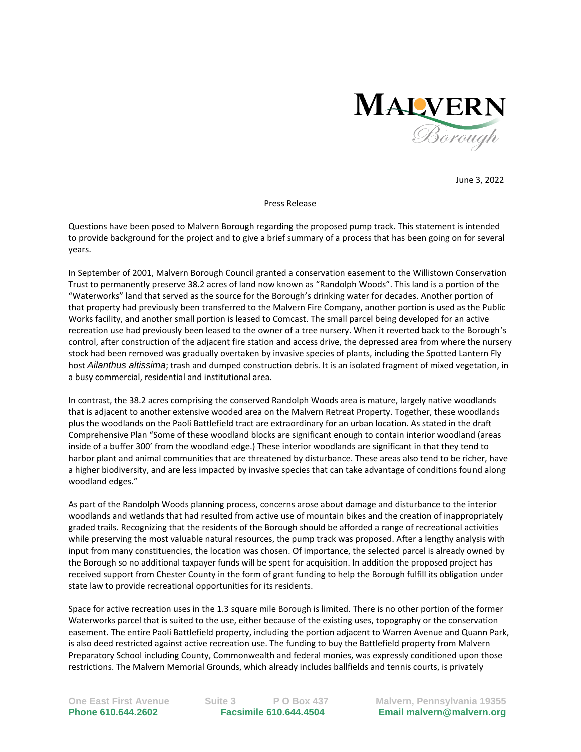

June 3, 2022

Press Release

Questions have been posed to Malvern Borough regarding the proposed pump track. This statement is intended to provide background for the project and to give a brief summary of a process that has been going on for several years.

In September of 2001, Malvern Borough Council granted a conservation easement to the Willistown Conservation Trust to permanently preserve 38.2 acres of land now known as "Randolph Woods". This land is a portion of the "Waterworks" land that served as the source for the Borough's drinking water for decades. Another portion of that property had previously been transferred to the Malvern Fire Company, another portion is used as the Public Works facility, and another small portion is leased to Comcast. The small parcel being developed for an active recreation use had previously been leased to the owner of a tree nursery. When it reverted back to the Borough's control, after construction of the adjacent fire station and access drive, the depressed area from where the nursery stock had been removed was gradually overtaken by invasive species of plants, including the Spotted Lantern Fly host *Ailanthus altissima*; trash and dumped construction debris. It is an isolated fragment of mixed vegetation, in a busy commercial, residential and institutional area.

In contrast, the 38.2 acres comprising the conserved Randolph Woods area is mature, largely native woodlands that is adjacent to another extensive wooded area on the Malvern Retreat Property. Together, these woodlands plus the woodlands on the Paoli Battlefield tract are extraordinary for an urban location. As stated in the draft Comprehensive Plan "Some of these woodland blocks are significant enough to contain interior woodland (areas inside of a buffer 300' from the woodland edge.) These interior woodlands are significant in that they tend to harbor plant and animal communities that are threatened by disturbance. These areas also tend to be richer, have a higher biodiversity, and are less impacted by invasive species that can take advantage of conditions found along woodland edges."

As part of the Randolph Woods planning process, concerns arose about damage and disturbance to the interior woodlands and wetlands that had resulted from active use of mountain bikes and the creation of inappropriately graded trails. Recognizing that the residents of the Borough should be afforded a range of recreational activities while preserving the most valuable natural resources, the pump track was proposed. After a lengthy analysis with input from many constituencies, the location was chosen. Of importance, the selected parcel is already owned by the Borough so no additional taxpayer funds will be spent for acquisition. In addition the proposed project has received support from Chester County in the form of grant funding to help the Borough fulfill its obligation under state law to provide recreational opportunities for its residents.

Space for active recreation uses in the 1.3 square mile Borough is limited. There is no other portion of the former Waterworks parcel that is suited to the use, either because of the existing uses, topography or the conservation easement. The entire Paoli Battlefield property, including the portion adjacent to Warren Avenue and Quann Park, is also deed restricted against active recreation use. The funding to buy the Battlefield property from Malvern Preparatory School including County, Commonwealth and federal monies, was expressly conditioned upon those restrictions. The Malvern Memorial Grounds, which already includes ballfields and tennis courts, is privately

**One East First Avenue Suite 3 P O Box 437 Malvern, Pennsylvania 19355 Phone 610.644.2602 Facsimile 610.644.4504 Email malvern@malvern.org**